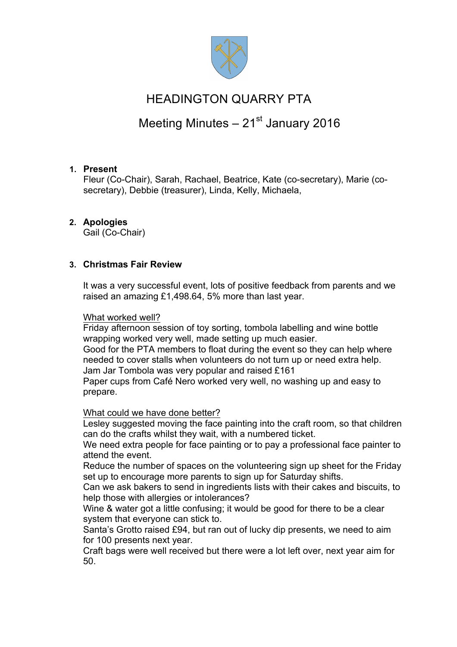

## HEADINGTON QUARRY PTA

# Meeting Minutes  $-21<sup>st</sup>$  January 2016

## **1. Present**

Fleur (Co-Chair), Sarah, Rachael, Beatrice, Kate (co-secretary), Marie (cosecretary), Debbie (treasurer), Linda, Kelly, Michaela,

## **2. Apologies**

Gail (Co-Chair)

## **3. Christmas Fair Review**

It was a very successful event, lots of positive feedback from parents and we raised an amazing £1,498.64, 5% more than last year.

### What worked well?

Friday afternoon session of toy sorting, tombola labelling and wine bottle wrapping worked very well, made setting up much easier.

Good for the PTA members to float during the event so they can help where needed to cover stalls when volunteers do not turn up or need extra help. Jam Jar Tombola was very popular and raised £161

Paper cups from Café Nero worked very well, no washing up and easy to prepare.

## What could we have done better?

Lesley suggested moving the face painting into the craft room, so that children can do the crafts whilst they wait, with a numbered ticket.

We need extra people for face painting or to pay a professional face painter to attend the event.

Reduce the number of spaces on the volunteering sign up sheet for the Friday set up to encourage more parents to sign up for Saturday shifts.

Can we ask bakers to send in ingredients lists with their cakes and biscuits, to help those with allergies or intolerances?

Wine & water got a little confusing; it would be good for there to be a clear system that everyone can stick to.

Santa's Grotto raised £94, but ran out of lucky dip presents, we need to aim for 100 presents next year.

Craft bags were well received but there were a lot left over, next year aim for 50.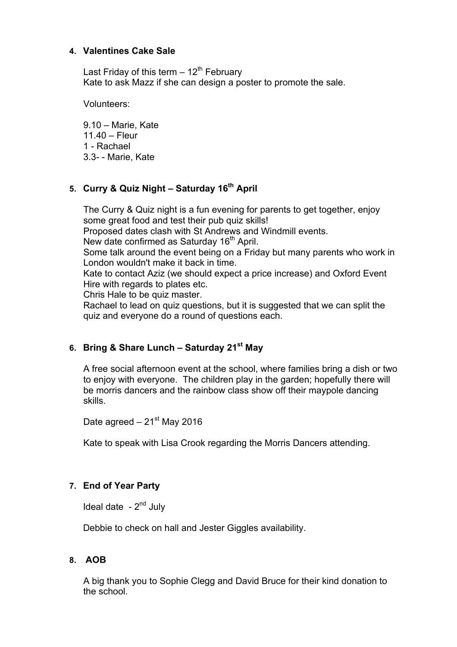### **4. Valentines Cake Sale**

Last Friday of this term  $-12^{th}$  February Kate to ask Mazz if she can design a poster to promote the sale.

Volunteers:

9.10 – Marie, Kate 11.40 – Fleur 1 - Rachael 3.3- - Marie, Kate

## **5. Curry & Quiz Night – Saturday 16th April**

The Curry & Quiz night is a fun evening for parents to get together, enjoy some great food and test their pub quiz skills! Proposed dates clash with St Andrews and Windmill events. New date confirmed as Saturday 16<sup>th</sup> April. Some talk around the event being on a Friday but many parents who work in London wouldn't make it back in time. Kate to contact Aziz (we should expect a price increase) and Oxford Event Hire with regards to plates etc. Chris Hale to be quiz master. Rachael to lead on quiz questions, but it is suggested that we can split the quiz and everyone do a round of questions each.

## **6. Bring & Share Lunch – Saturday 21st May**

A free social afternoon event at the school, where families bring a dish or two to enjoy with everyone. The children play in the garden; hopefully there will be morris dancers and the rainbow class show off their maypole dancing skills.

Date agreed  $-21<sup>st</sup>$  May 2016

Kate to speak with Lisa Crook regarding the Morris Dancers attending.

## **7. End of Year Party**

Ideal date  $-2<sup>nd</sup>$  July

Debbie to check on hall and Jester Giggles availability.

#### **8. AOB**

A big thank you to Sophie Clegg and David Bruce for their kind donation to the school.